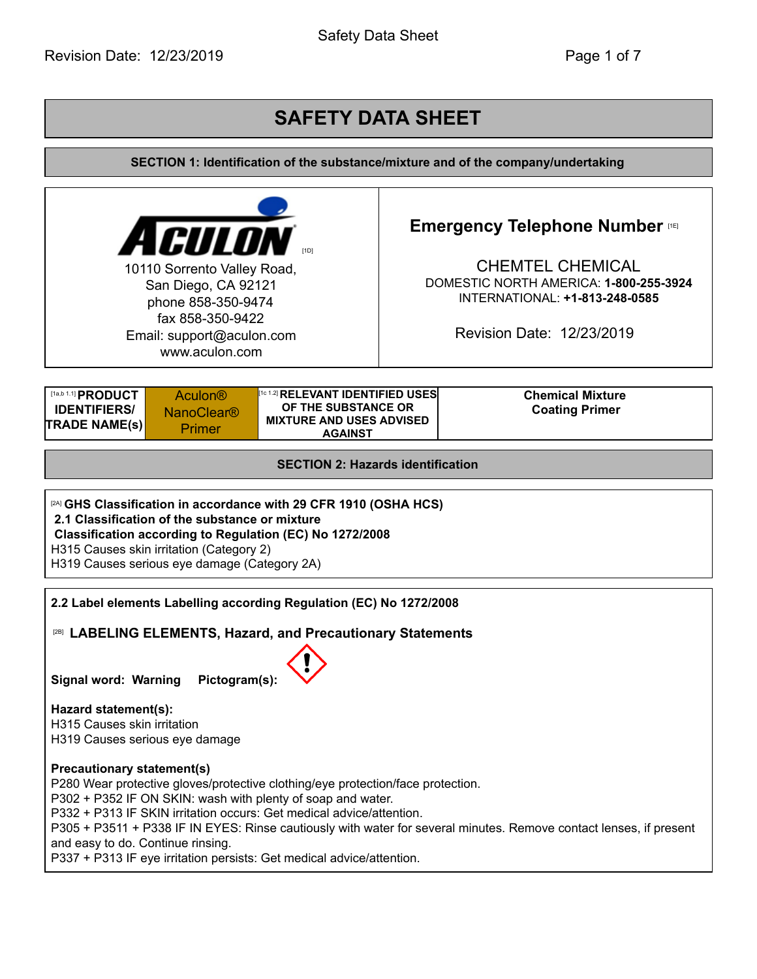Safety Data Sheet

# **SAFETY DATA SHEET**

**SECTION 1: Identification of the substance/mixture and of the company/undertaking**

| <b>ACULON</b><br>10110 Sorrento Valley Road,<br>San Diego, CA 92121<br>phone 858-350-9474<br>fax 858-350-9422<br>Email: support@aculon.com<br>www.aculon.com                                                                                                                                                                                                                                                           |  |                                          | <b>Emergency Telephone Number rest</b><br><b>CHEMTEL CHEMICAL</b><br>DOMESTIC NORTH AMERICA: 1-800-255-3924<br>INTERNATIONAL: +1-813-248-0585<br>Revision Date: 12/23/2019 |  |
|------------------------------------------------------------------------------------------------------------------------------------------------------------------------------------------------------------------------------------------------------------------------------------------------------------------------------------------------------------------------------------------------------------------------|--|------------------------------------------|----------------------------------------------------------------------------------------------------------------------------------------------------------------------------|--|
| [1a,b 1.1] <b>PRODUCT</b><br><sup>[1012]</sup> RELEVANT IDENTIFIED USES<br><b>Chemical Mixture</b><br><b>Aculon®</b><br>OF THE SUBSTANCE OR<br><b>IDENTIFIERS/</b><br><b>Coating Primer</b><br><b>NanoClear<sup>®</sup></b><br><b>MIXTURE AND USES ADVISED</b><br><b>TRADE NAME(s)</b><br>Primer<br><b>AGAINST</b>                                                                                                     |  |                                          |                                                                                                                                                                            |  |
|                                                                                                                                                                                                                                                                                                                                                                                                                        |  | <b>SECTION 2: Hazards identification</b> |                                                                                                                                                                            |  |
| <sup>[2A]</sup> GHS Classification in accordance with 29 CFR 1910 (OSHA HCS)<br>2.1 Classification of the substance or mixture<br>Classification according to Regulation (EC) No 1272/2008<br>H315 Causes skin irritation (Category 2)<br>H319 Causes serious eye damage (Category 2A)                                                                                                                                 |  |                                          |                                                                                                                                                                            |  |
| 2.2 Label elements Labelling according Regulation (EC) No 1272/2008<br><sup>[28]</sup> LABELING ELEMENTS, Hazard, and Precautionary Statements<br>Pictogram(s):<br><b>Signal word: Warning</b>                                                                                                                                                                                                                         |  |                                          |                                                                                                                                                                            |  |
| Hazard statement(s):<br>H315 Causes skin irritation<br>H319 Causes serious eye damage                                                                                                                                                                                                                                                                                                                                  |  |                                          |                                                                                                                                                                            |  |
| <b>Precautionary statement(s)</b><br>P280 Wear protective gloves/protective clothing/eye protection/face protection.<br>P302 + P352 IF ON SKIN: wash with plenty of soap and water.<br>P332 + P313 IF SKIN irritation occurs: Get medical advice/attention.<br>P305 + P3511 + P338 IF IN EYES: Rinse cautiously with water for several minutes. Remove contact lenses, if present<br>and easy to do. Continue rinsing. |  |                                          |                                                                                                                                                                            |  |

P337 + P313 IF eye irritation persists: Get medical advice/attention.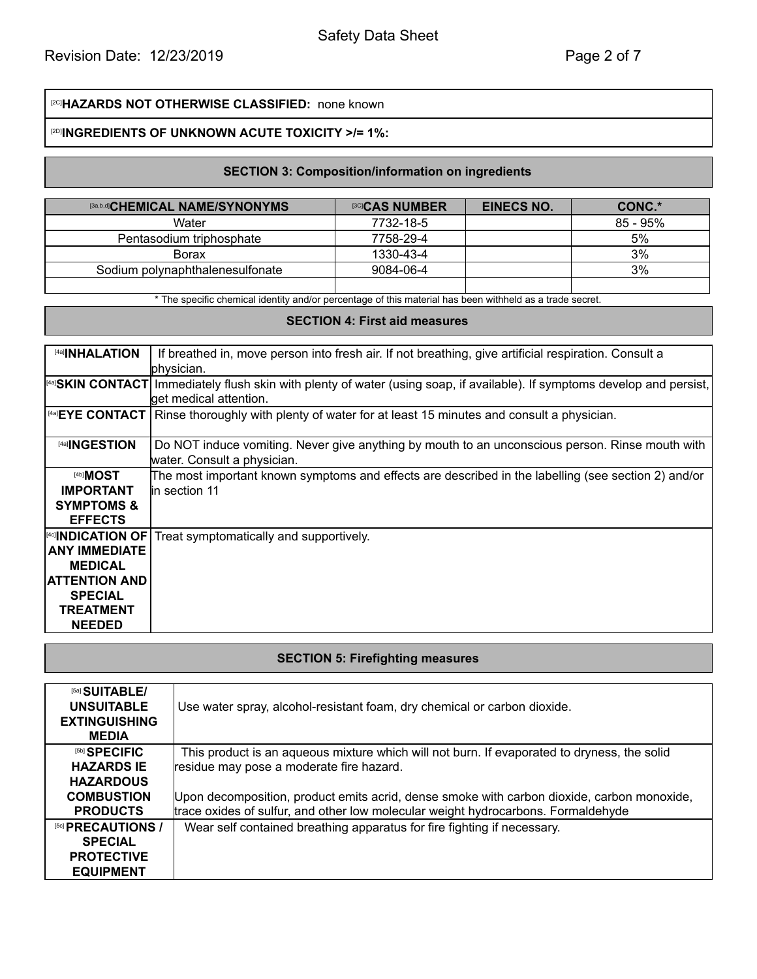# [2C]**HAZARDS NOT OTHERWISE CLASSIFIED:** none known

#### [2D] **INGREDIENTS OF UNKNOWN ACUTE TOXICITY >/= 1%:**

## **SECTION 3: Composition/information on ingredients**

| <sup>[3a,b,d]</sup> CHEMICAL NAME/SYNONYMS | <sup>[3C]</sup> CAS NUMBER | <b>EINECS NO.</b> | CONC.*      |
|--------------------------------------------|----------------------------|-------------------|-------------|
| Water                                      | 7732-18-5                  |                   | $85 - 95\%$ |
| Pentasodium triphosphate                   | 7758-29-4                  |                   | 5%          |
| <b>Borax</b>                               | 1330-43-4                  |                   | 3%          |
| Sodium polynaphthalenesulfonate            | 9084-06-4                  |                   | 3%          |
|                                            |                            |                   |             |

\* The specific chemical identity and/or percentage of this material has been withheld as a trade secret.

#### **SECTION 4: First aid measures**

| [4a] <b>INHALATION</b>   | If breathed in, move person into fresh air. If not breathing, give artificial respiration. Consult a                              |
|--------------------------|-----------------------------------------------------------------------------------------------------------------------------------|
|                          | lphysician.                                                                                                                       |
|                          | [4a] <b>SKIN CONTACT</b> Immediately flush skin with plenty of water (using soap, if available). If symptoms develop and persist, |
|                          | get medical attention.                                                                                                            |
|                          | $ ^{4a}$ EYE CONTACT Rinse thoroughly with plenty of water for at least 15 minutes and consult a physician.                       |
|                          |                                                                                                                                   |
| [4a] <b>INGESTION</b>    | Do NOT induce vomiting. Never give anything by mouth to an unconscious person. Rinse mouth with                                   |
|                          | water. Consult a physician.                                                                                                       |
| <sup>[4b]</sup> MOST     | The most important known symptoms and effects are described in the labelling (see section 2) and/or                               |
| <b>IMPORTANT</b>         | lin section 11                                                                                                                    |
| <b>SYMPTOMS &amp;</b>    |                                                                                                                                   |
| <b>EFFECTS</b>           |                                                                                                                                   |
| <b>[4c] NDICATION OF</b> | Treat symptomatically and supportively.                                                                                           |
| <b>ANY IMMEDIATE</b>     |                                                                                                                                   |
| <b>MEDICAL</b>           |                                                                                                                                   |
| <b>ATTENTION AND</b>     |                                                                                                                                   |
| <b>SPECIAL</b>           |                                                                                                                                   |
| TREATMENT                |                                                                                                                                   |
| <b>NEEDED</b>            |                                                                                                                                   |

#### **SECTION 5: Firefighting measures**

| [5a] SUITABLE/<br><b>UNSUITABLE</b><br><b>EXTINGUISHING</b><br><b>MEDIA</b> | Use water spray, alcohol-resistant foam, dry chemical or carbon dioxide.                                                                                                        |
|-----------------------------------------------------------------------------|---------------------------------------------------------------------------------------------------------------------------------------------------------------------------------|
| [5b] SPECIFIC                                                               | This product is an aqueous mixture which will not burn. If evaporated to dryness, the solid                                                                                     |
| <b>HAZARDS IE</b><br><b>HAZARDOUS</b>                                       | residue may pose a moderate fire hazard.                                                                                                                                        |
| <b>COMBUSTION</b><br><b>PRODUCTS</b>                                        | Upon decomposition, product emits acrid, dense smoke with carbon dioxide, carbon monoxide,<br>trace oxides of sulfur, and other low molecular weight hydrocarbons. Formaldehyde |
| [5c] PRECAUTIONS /<br><b>SPECIAL</b>                                        | Wear self contained breathing apparatus for fire fighting if necessary.                                                                                                         |
| <b>PROTECTIVE</b>                                                           |                                                                                                                                                                                 |
| <b>EQUIPMENT</b>                                                            |                                                                                                                                                                                 |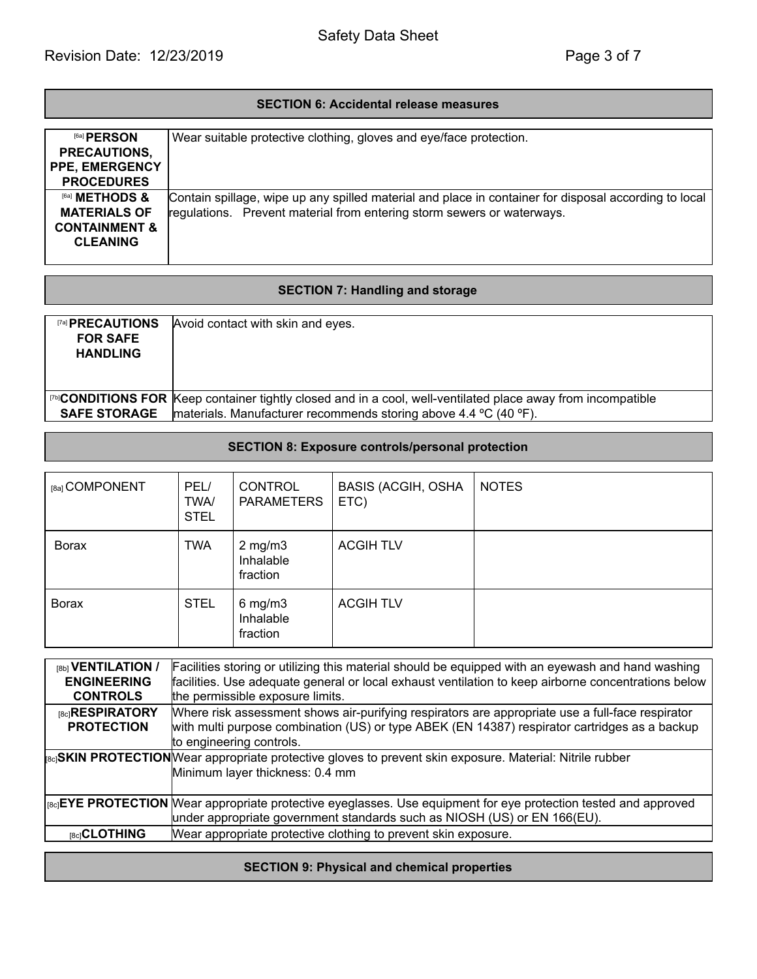### **SECTION 6: Accidental release measures**

| [6a] PERSON               | Wear suitable protective clothing, gloves and eye/face protection.                                    |
|---------------------------|-------------------------------------------------------------------------------------------------------|
| PRECAUTIONS,              |                                                                                                       |
| <b>PPE, EMERGENCY</b>     |                                                                                                       |
| <b>PROCEDURES</b>         |                                                                                                       |
| [6a] <b>METHODS &amp;</b> | Contain spillage, wipe up any spilled material and place in container for disposal according to local |
| <b>MATERIALS OF</b>       | regulations. Prevent material from entering storm sewers or waterways.                                |
| <b>CONTAINMENT &amp;</b>  |                                                                                                       |
| <b>CLEANING</b>           |                                                                                                       |
|                           |                                                                                                       |

# **SECTION 7: Handling and storage**

| <b>TAI PRECAUTIONS</b><br><b>FOR SAFE</b><br><b>HANDLING</b> | Avoid contact with skin and eyes.                                                                                                                                                       |
|--------------------------------------------------------------|-----------------------------------------------------------------------------------------------------------------------------------------------------------------------------------------|
| <b>SAFE STORAGE</b>                                          | <b>ITHICONDITIONS FOR Keep container tightly closed and in a cool, well-ventilated place away from incompatible</b><br>materials. Manufacturer recommends storing above 4.4 °C (40 °F). |

# **SECTION 8: Exposure controls/personal protection**

| [8a] COMPONENT | PEL/<br><b>TWA/</b><br><b>STEL</b> | <b>CONTROL</b><br><b>PARAMETERS</b>   | <b>BASIS (ACGIH, OSHA</b><br>ETC) | <b>NOTES</b> |
|----------------|------------------------------------|---------------------------------------|-----------------------------------|--------------|
| <b>Borax</b>   | <b>TWA</b>                         | $2$ mg/m $3$<br>Inhalable<br>fraction | <b>ACGIH TLV</b>                  |              |
| <b>Borax</b>   | <b>STEL</b>                        | $6$ mg/m $3$<br>Inhalable<br>fraction | <b>ACGIH TLV</b>                  |              |

| [8b] <b>VENTILATION</b> /<br><b>ENGINEERING</b><br><b>CONTROLS</b> | Facilities storing or utilizing this material should be equipped with an eyewash and hand washing<br>facilities. Use adequate general or local exhaust ventilation to keep airborne concentrations below<br>the permissible exposure limits. |
|--------------------------------------------------------------------|----------------------------------------------------------------------------------------------------------------------------------------------------------------------------------------------------------------------------------------------|
| <b>BciRESPIRATORY</b><br><b>PROTECTION</b>                         | Where risk assessment shows air-purifying respirators are appropriate use a full-face respirator<br>with multi purpose combination (US) or type ABEK (EN 14387) respirator cartridges as a backup<br>to engineering controls.                |
|                                                                    | <sub>[80</sub> <b>SKIN PROTECTION</b>  Wear appropriate protective gloves to prevent skin exposure. Material: Nitrile rubber<br>Minimum layer thickness: 0.4 mm                                                                              |
|                                                                    | $ _{[8a]}$ EYE PROTECTION Wear appropriate protective eyeglasses. Use equipment for eye protection tested and approved<br>under appropriate government standards such as NIOSH (US) or EN 166(EU).                                           |
| [8c] <b>CLOTHING</b>                                               | Wear appropriate protective clothing to prevent skin exposure.                                                                                                                                                                               |

# **SECTION 9: Physical and chemical properties**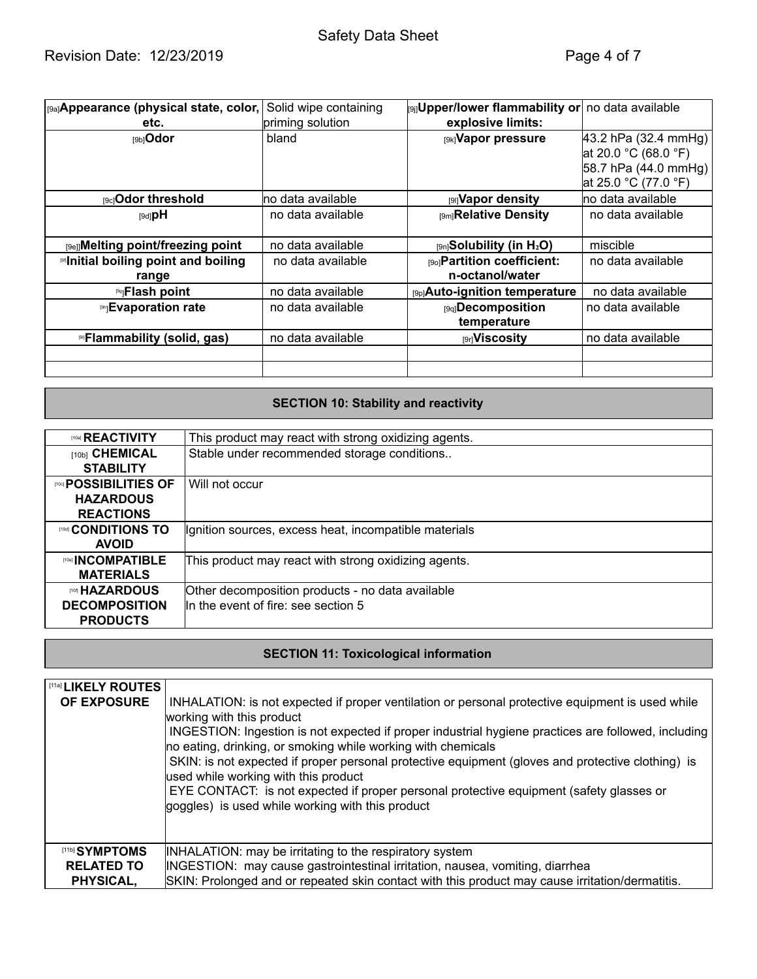# Safety Data Sheet

| [9a] Appearance (physical state, color, | Solid wipe containing | <b>supper/lower flammability or no data available</b> |                      |
|-----------------------------------------|-----------------------|-------------------------------------------------------|----------------------|
| etc.                                    | priming solution      | explosive limits:                                     |                      |
| [9b] <b>Odor</b>                        | bland                 | [9k] Vapor pressure                                   | 43.2 hPa (32.4 mmHg) |
|                                         |                       |                                                       | at 20.0 °C (68.0 °F) |
|                                         |                       |                                                       | 58.7 hPa (44.0 mmHg) |
|                                         |                       |                                                       | at 25.0 °C (77.0 °F) |
| <b>[9c]Odor threshold</b>               | no data available     | <b>pay Vapor density</b>                              | no data available    |
| $[9d]$ pH                               | no data available     | [9m] Relative Density                                 | no data available    |
|                                         |                       |                                                       |                      |
| [9e]]Melting point/freezing point       | no data available     | $_{[9n]}$ Solubility (in H <sub>2</sub> O)            | miscible             |
| Initial boiling point and boiling       | no data available     | <b>[90] Partition coefficient:</b>                    | no data available    |
| range                                   |                       | n-octanol/water                                       |                      |
| <sup>19</sup> JFlash point              | no data available     | [9p]Auto-ignition temperature                         | no data available    |
| <b>Ing Evaporation rate</b>             | no data available     | [9q]Decomposition                                     | no data available    |
|                                         |                       | temperature                                           |                      |
| <b>In Flammability (solid, gas)</b>     | no data available     | <b>p</b> riviscosity                                  | no data available    |
|                                         |                       |                                                       |                      |
|                                         |                       |                                                       |                      |

# **SECTION 10: Stability and reactivity**

| <b>ITOal REACTIVITY</b>            | This product may react with strong oxidizing agents.  |
|------------------------------------|-------------------------------------------------------|
| [10b] CHEMICAL                     | Stable under recommended storage conditions           |
| <b>STABILITY</b>                   |                                                       |
| <b><i>ING</i></b> POSSIBILITIES OF | Will not occur                                        |
| <b>HAZARDOUS</b>                   |                                                       |
| <b>REACTIONS</b>                   |                                                       |
| ™© CONDITIONS TO                   | Ignition sources, excess heat, incompatible materials |
| <b>AVOID</b>                       |                                                       |
| <b>[10e] INCOMPATIBLE</b>          | This product may react with strong oxidizing agents.  |
| <b>MATERIALS</b>                   |                                                       |
| ™ HAZARDOUS                        | Other decomposition products - no data available      |
| <b>DECOMPOSITION</b>               | In the event of fire: see section 5                   |
| <b>PRODUCTS</b>                    |                                                       |

# **SECTION 11: Toxicological information**

| <b>I [11a] LIKELY ROUTES</b><br><b>OF EXPOSURE</b> | INHALATION: is not expected if proper ventilation or personal protective equipment is used while<br>working with this product<br>INGESTION: Ingestion is not expected if proper industrial hygiene practices are followed, including<br>no eating, drinking, or smoking while working with chemicals<br>SKIN: is not expected if proper personal protective equipment (gloves and protective clothing) is<br>used while working with this product<br>EYE CONTACT: is not expected if proper personal protective equipment (safety glasses or<br>goggles) is used while working with this product |
|----------------------------------------------------|--------------------------------------------------------------------------------------------------------------------------------------------------------------------------------------------------------------------------------------------------------------------------------------------------------------------------------------------------------------------------------------------------------------------------------------------------------------------------------------------------------------------------------------------------------------------------------------------------|
| [11b] SYMPTOMS                                     | INHALATION: may be irritating to the respiratory system                                                                                                                                                                                                                                                                                                                                                                                                                                                                                                                                          |
| <b>RELATED TO</b>                                  | INGESTION: may cause gastrointestinal irritation, nausea, vomiting, diarrhea                                                                                                                                                                                                                                                                                                                                                                                                                                                                                                                     |
| PHYSICAL,                                          | SKIN: Prolonged and or repeated skin contact with this product may cause irritation/dermatitis.                                                                                                                                                                                                                                                                                                                                                                                                                                                                                                  |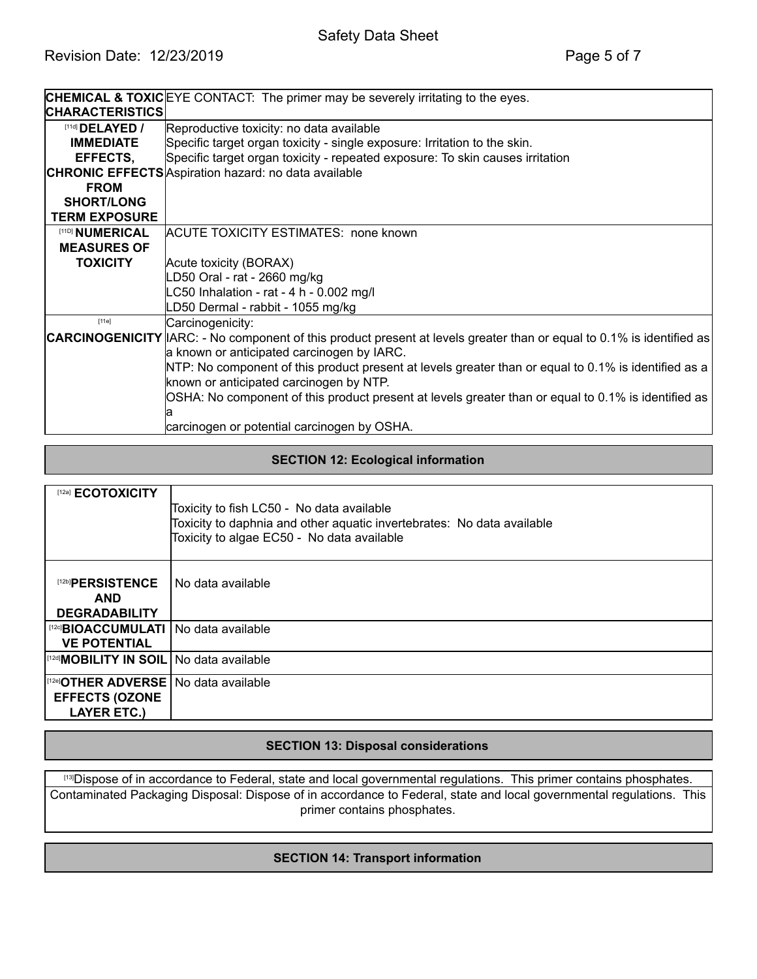|                        | <b>CHEMICAL &amp; TOXIC</b> EYE CONTACT: The primer may be severely irritating to the eyes.                                  |
|------------------------|------------------------------------------------------------------------------------------------------------------------------|
| <b>CHARACTERISTICS</b> |                                                                                                                              |
| [11d] <b>DELAYED</b> / | Reproductive toxicity: no data available                                                                                     |
| <b>IMMEDIATE</b>       | Specific target organ toxicity - single exposure: Irritation to the skin.                                                    |
| EFFECTS,               | Specific target organ toxicity - repeated exposure: To skin causes irritation                                                |
|                        | <b>CHRONIC EFFECTS</b> Aspiration hazard: no data available                                                                  |
| <b>FROM</b>            |                                                                                                                              |
| <b>SHORT/LONG</b>      |                                                                                                                              |
| <b>TERM EXPOSURE</b>   |                                                                                                                              |
| [11D] NUMERICAL        | <b>ACUTE TOXICITY ESTIMATES: none known</b>                                                                                  |
| <b>MEASURES OF</b>     |                                                                                                                              |
| <b>TOXICITY</b>        | Acute toxicity (BORAX)                                                                                                       |
|                        | D50 Oral - rat - 2660 mg/kg                                                                                                  |
|                        | C50 Inhalation - rat - 4 h - 0.002 mg/l                                                                                      |
|                        | D50 Dermal - rabbit - 1055 mg/kg                                                                                             |
| $[11e]$                | Carcinogenicity:                                                                                                             |
|                        | <b>CARCINOGENICITY</b> IARC: - No component of this product present at levels greater than or equal to 0.1% is identified as |
|                        | a known or anticipated carcinogen by IARC.                                                                                   |
|                        | NTP: No component of this product present at levels greater than or equal to 0.1% is identified as a                         |
|                        | known or anticipated carcinogen by NTP.                                                                                      |
|                        | OSHA: No component of this product present at levels greater than or equal to 0.1% is identified as                          |
|                        |                                                                                                                              |
|                        | carcinogen or potential carcinogen by OSHA.                                                                                  |

## **SECTION 12: Ecological information**

| [12a] <b>ECOTOXICITY</b>                                                                           | Toxicity to fish LC50 - No data available<br>Toxicity to daphnia and other aquatic invertebrates: No data available<br>Toxicity to algae EC50 - No data available |
|----------------------------------------------------------------------------------------------------|-------------------------------------------------------------------------------------------------------------------------------------------------------------------|
| [12b]PERSISTENCE<br><b>AND</b><br><b>DEGRADABILITY</b>                                             | No data available                                                                                                                                                 |
| <sup>[12c]</sup> BIOACCUMULATI   No data available<br><b>VE POTENTIAL</b>                          |                                                                                                                                                                   |
| <sup>[[12d]</sup> MOBILITY IN SOIL   No data available                                             |                                                                                                                                                                   |
| <sup>[[12e]</sup> OTHER ADVERSE   No data available<br><b>EFFECTS (OZONE</b><br><b>LAYER ETC.)</b> |                                                                                                                                                                   |

## **SECTION 13: Disposal considerations**

[13] Dispose of in accordance to Federal, state and local governmental regulations. This primer contains phosphates. Contaminated Packaging Disposal: Dispose of in accordance to Federal, state and local governmental regulations. This primer contains phosphates.

## **SECTION 14: Transport information**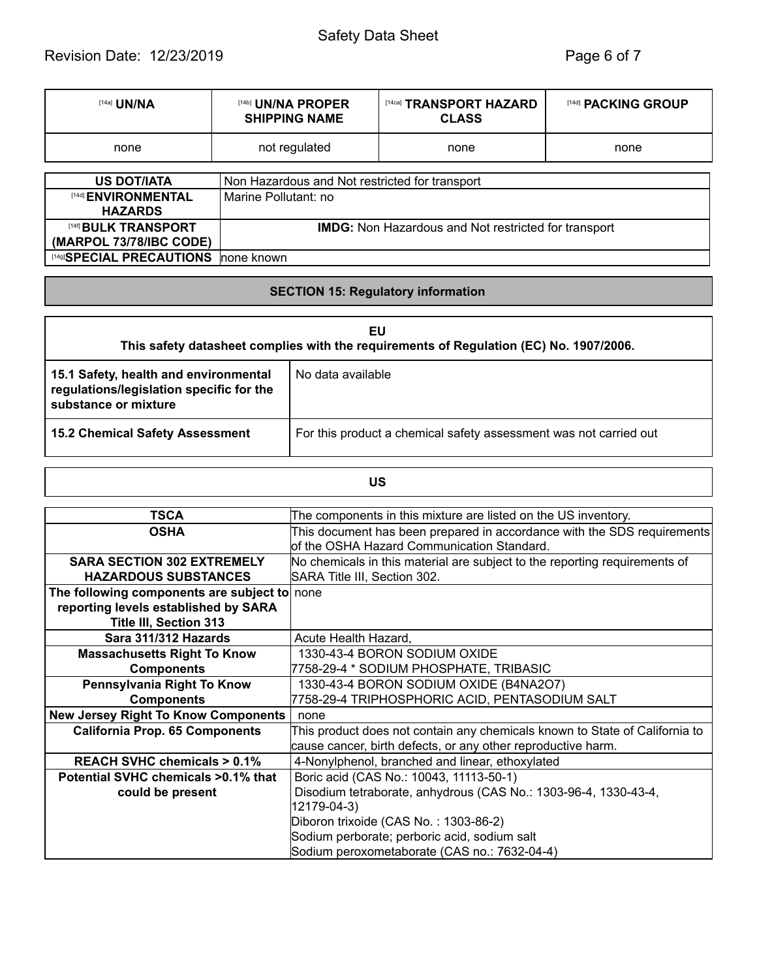# Safety Data Sheet

# Revision Date: 12/23/2019 **Page 6 of 7**

| [14a] <b>UN/NA</b>          | [14b] UN/NA PROPER<br><b>SHIPPING NAME</b>                  | [14ca] TRANSPORT HAZARD<br><b>CLASS</b> | [14d] <b>PACKING GROUP</b> |
|-----------------------------|-------------------------------------------------------------|-----------------------------------------|----------------------------|
| none                        | not regulated                                               | none                                    | none                       |
|                             |                                                             |                                         |                            |
| <b>US DOT/IATA</b>          | Non Hazardous and Not restricted for transport              |                                         |                            |
| [14d] <b>ENVIRONMENTAL</b>  | Marine Pollutant: no                                        |                                         |                            |
| <b>HAZARDS</b>              |                                                             |                                         |                            |
| [14f] <b>BULK TRANSPORT</b> | <b>IMDG:</b> Non Hazardous and Not restricted for transport |                                         |                            |
| (MARPOL 73/78/IBC CODE)     |                                                             |                                         |                            |
| [14g]SPECIAL PRECAUTIONS    | none known                                                  |                                         |                            |

## **SECTION 15: Regulatory information**

| EU<br>This safety datasheet complies with the requirements of Regulation (EC) No. 1907/2006.              |                                                                   |  |  |
|-----------------------------------------------------------------------------------------------------------|-------------------------------------------------------------------|--|--|
| 15.1 Safety, health and environmental<br>regulations/legislation specific for the<br>substance or mixture | No data available                                                 |  |  |
| <b>15.2 Chemical Safety Assessment</b>                                                                    | For this product a chemical safety assessment was not carried out |  |  |

# **US**

| <b>TSCA</b>                                  | The components in this mixture are listed on the US inventory.              |
|----------------------------------------------|-----------------------------------------------------------------------------|
| <b>OSHA</b>                                  | This document has been prepared in accordance with the SDS requirements     |
|                                              | lof the OSHA Hazard Communication Standard.                                 |
| <b>SARA SECTION 302 EXTREMELY</b>            | No chemicals in this material are subject to the reporting requirements of  |
| <b>HAZARDOUS SUBSTANCES</b>                  | SARA Title III, Section 302.                                                |
| The following components are subject to none |                                                                             |
| reporting levels established by SARA         |                                                                             |
| <b>Title III, Section 313</b>                |                                                                             |
| Sara 311/312 Hazards                         | Acute Health Hazard,                                                        |
| <b>Massachusetts Right To Know</b>           | 1330-43-4 BORON SODIUM OXIDE                                                |
| <b>Components</b>                            | 7758-29-4 * SODIUM PHOSPHATE, TRIBASIC                                      |
| Pennsylvania Right To Know                   | 1330-43-4 BORON SODIUM OXIDE (B4NA2O7)                                      |
| <b>Components</b>                            | 7758-29-4 TRIPHOSPHORIC ACID, PENTASODIUM SALT                              |
| <b>New Jersey Right To Know Components</b>   | none                                                                        |
| <b>California Prop. 65 Components</b>        | This product does not contain any chemicals known to State of California to |
|                                              | cause cancer, birth defects, or any other reproductive harm.                |
| <b>REACH SVHC chemicals &gt; 0.1%</b>        | 4-Nonylphenol, branched and linear, ethoxylated                             |
| Potential SVHC chemicals >0.1% that          | Boric acid (CAS No.: 10043, 11113-50-1)                                     |
| could be present                             | Disodium tetraborate, anhydrous (CAS No.: 1303-96-4, 1330-43-4,             |
|                                              | 12179-04-3)                                                                 |
|                                              | Diboron trixoide (CAS No.: 1303-86-2)                                       |
|                                              | Sodium perborate; perboric acid, sodium salt                                |
|                                              | Sodium peroxometaborate (CAS no.: 7632-04-4)                                |